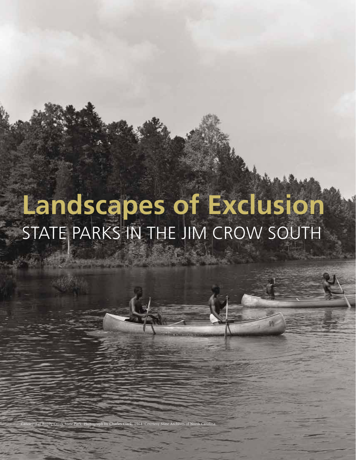## **Landscapes of Exclusion** STATE PARKS IN THE JIM CROW SOUTH

aph by Charles Clark, 1964. Courtesy State

2 VIEW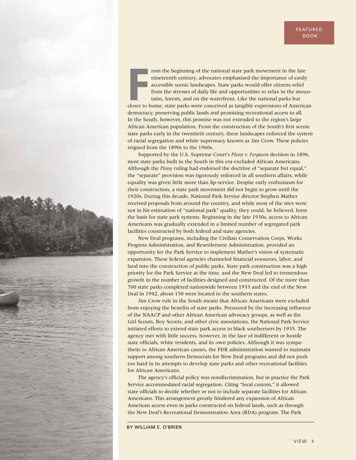From the beginning of the national state park movement in the late<br>nineteenth century, advocates emphasized the importance of easily<br>accessible scenic landscapes. State parks would offer citizens relief<br>from the stresses o rom the beginning of the national state park movement in the late nineteenth century, advocates emphasized the importance of easily accessible scenic landscapes. State parks would offer citizens relief from the stresses of daily life and opportunities to relax in the mountains, forests, and on the waterfront. Like the national parks but democracy, preserving public lands and promising recreational access to all. In the South, however, this promise was not extended to the region's large African American population. From the construction of the South's first scenic state parks early in the twentieth century, these landscapes enforced the system of racial segregation and white supremacy known as Jim Crow. These policies reigned from the 1890s to the 1960s.

Supported by the U.S. Supreme Court's *Plessy v. Ferguson* decision in 1896, most state parks built in the South in this era excluded African Americans. Although the *Plessy* ruling had endorsed the doctrine of "separate but equal," the "separate" provision was rigorously enforced in all southern affairs, while equality was given little more than lip-service. Despite early enthusiasm for their construction, a state park movement did not begin to grow until the 1920s. During this decade, National Park Service director Stephen Mather received proposals from around the country, and while most of the sites were not in his estimation of "national park" quality, they could, he believed, form the basis for state park systems. Beginning in the late 1930s, access to African Americans was gradually extended in a limited number of segregated park facilities constructed by both federal and state agencies.

New Deal programs, including the Civilian Conservation Corps, Works Progress Administration, and Resettlement Administration, provided an opportunity for the Park Service to implement Mather's vision of systematic expansion. These federal agencies channeled financial resources, labor, and land into the construction of public parks. State park construction was a high priority for the Park Service at the time, and the New Deal led to tremendous growth in the number of facilities designed and constructed. Of the more than 700 state parks completed nationwide between 1933 and the end of the New Deal in 1942, about 150 were located in the southern states.

Jim Crow rule in the South meant that African Americans were excluded from enjoying the benefits of state parks. Pressured by the increasing influence of the NAACP and other African American advocacy groups, as well as the Girl Scouts, Boy Scouts, and other civic associations, the National Park Service initiated efforts to extend state park access to black southerners by 1935. The agency met with little success, however, in the face of indifferent or hostile state officials, white residents, and its own policies. Although it was sympathetic to African American causes, the FDR administration wanted to maintain support among southern Democrats for New Deal programs and did not push too hard in its attempts to develop state parks and other recreational facilities for African Americans.

The agency's official policy was nondiscrimination, but in practice the Park Service accommodated racial segregation. Citing "local custom," it allowed state officials to decide whether or not to include separate facilities for African Americans. This arrangement greatly hindered any expansion of African American access even in parks constructed on federal lands, such as through the New Deal's Recreational Demonstration Area (RDA) program. The Park

BY WILLIAM E. O'BRIEN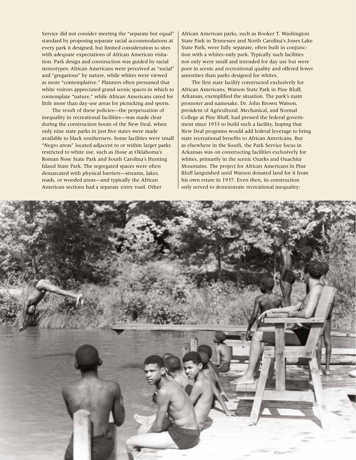Service did not consider meeting the "separate but equal" standard by proposing separate racial accommodations at every park it designed, but limited consideration to sites with adequate expectations of African American visitation. Park design and construction was guided by racial stereotypes: African Americans were perceived as "social" and "gregarious" by nature, while whites were viewed as more "contemplative." Planners often presumed that white visitors appreciated grand scenic spaces in which to contemplate "nature," while African Americans cared for little more than day-use areas for picnicking and sports.

The result of these policies—the perpetuation of inequality in recreational facilities—was made clear during the construction boom of the New Deal, when only nine state parks in just five states were made available to black southerners. Some facilities were small "Negro areas" located adjacent to or within larger parks restricted to white use, such as those at Oklahoma's Roman Nose State Park and South Carolina's Hunting Island State Park. The segregated spaces were often demarcated with physical barriers—streams, lakes, roads, or wooded areas—and typically the African American sections had a separate entry road. Other

African American parks, such as Booker T. Washington State Park in Tennessee and North Carolina's Jones Lake State Park, were fully separate, often built in conjunction with a whites-only park. Typically such facilities not only were small and intended for day use but were poor in scenic and recreational quality and offered fewer amenities than parks designed for whites.

The first state facility constructed exclusively for African Americans, Watson State Park in Pine Bluff, Arkansas, exemplified the situation. The park's main promoter and namesake, Dr. John Brown Watson, president of Agricultural, Mechanical, and Normal College at Pine Bluff, had pressed the federal government since 1933 to build such a facility, hoping that New Deal programs would add federal leverage to bring state recreational benefits to African Americans. But as elsewhere in the South, the Park Service focus in Arkansas was on constructing facilities exclusively for whites, primarily in the scenic Ozarks and Ouachita Mountains. The project for African Americans in Pine Bluff languished until Watson donated land for it from his own estate in 1937. Even then, its construction only served to demonstrate recreational inequality:

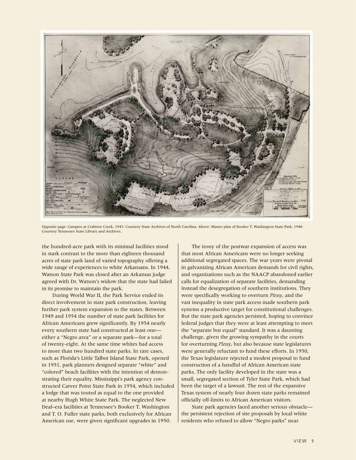

Opposite page: Campers at Crabtree Creek, 1943. Courtesy State Archives of North Carolina. Above: Master plan of Booker T. Washington State Park, 1940. Courtesy Tennessee State Library and Archives.

the hundred-acre park with its minimal facilities stood in stark contrast to the more than eighteen thousand acres of state park land of varied topography offering a wide range of experiences to white Arkansans. In 1944, Watson State Park was closed after an Arkansas judge agreed with Dr. Watson's widow that the state had failed in its promise to maintain the park.

During World War II, the Park Service ended its direct involvement in state park construction, leaving further park system expansion to the states. Between 1949 and 1954 the number of state park facilities for African Americans grew significantly. By 1954 nearly every southern state had constructed at least one either a "Negro area" or a separate park—for a total of twenty-eight. At the same time whites had access to more than two hundred state parks. In rare cases, such as Florida's Little Talbot Island State Park, opened in 1951, park planners designed separate "white" and "colored" beach facilities with the intention of demonstrating their equality. Mississippi's park agency constructed Carver Point State Park in 1954, which included a lodge that was touted as equal to the one provided at nearby Hugh White State Park. The neglected New Deal–era facilities at Tennessee's Booker T. Washington and T. O. Fuller state parks, both exclusively for African American use, were given significant upgrades in 1950.

The irony of the postwar expansion of access was that most African Americans were no longer seeking additional segregated spaces. The war years were pivotal in galvanizing African American demands for civil rights, and organizations such as the NAACP abandoned earlier calls for equalization of separate facilities, demanding instead the desegregation of southern institutions. They were specifically working to overturn *Plessy*, and the vast inequality in state park access made southern park systems a productive target for constitutional challenges. But the state park agencies persisted, hoping to convince federal judges that they were at least attempting to meet the "separate but equal" standard. It was a daunting challenge, given the growing sympathy in the courts for overturning *Plessy*, but also because state legislatures were generally reluctant to fund these efforts. In 1950, the Texas legislature rejected a modest proposal to fund construction of a handful of African American state parks. The only facility developed in the state was a small, segregated section of Tyler State Park, which had been the target of a lawsuit. The rest of the expansive Texas system of nearly four dozen state parks remained officially off-limits to African American visitors.

State park agencies faced another serious obstacle the persistent rejection of site proposals by local white residents who refused to allow "Negro parks" near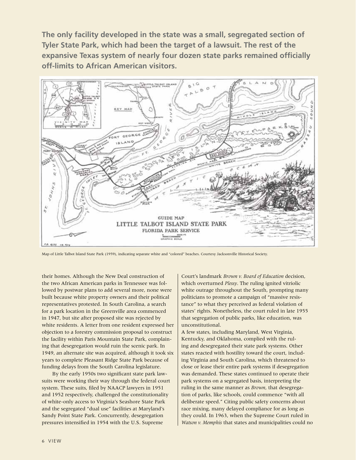**The only facility developed in the state was a small, segregated section of Tyler State Park, which had been the target of a lawsuit. The rest of the expansive Texas system of nearly four dozen state parks remained officially off-limits to African American visitors.**



Map of Little Talbot Island State Park (1959), indicating separate white and "colored" beaches. Courtesy Jacksonville Historical Society.

their homes. Although the New Deal construction of the two African American parks in Tennessee was followed by postwar plans to add several more, none were built because white property owners and their political representatives protested. In South Carolina, a search for a park location in the Greenville area commenced in 1947, but site after proposed site was rejected by white residents. A letter from one resident expressed her objection to a forestry commission proposal to construct the facility within Paris Mountain State Park, complaining that desegregation would ruin the scenic park. In 1949, an alternate site was acquired, although it took six years to complete Pleasant Ridge State Park because of funding delays from the South Carolina legislature.

By the early 1950s two significant state park lawsuits were working their way through the federal court system. These suits, filed by NAACP lawyers in 1951 and 1952 respectively, challenged the constitutionality of white-only access to Virginia's Seashore State Park and the segregated "dual use" facilities at Maryland's Sandy Point State Park. Concurrently, desegregation pressures intensified in 1954 with the U.S. Supreme

Court's landmark *Brown v. Board of Education* decision, which overturned *Plessy*. The ruling ignited vitriolic white outrage throughout the South, prompting many politicians to promote a campaign of "massive resistance" to what they perceived as federal violation of states' rights. Nonetheless, the court ruled in late 1955 that segregation of public parks, like education, was unconstitutional.

A few states, including Maryland, West Virginia, Kentucky, and Oklahoma, complied with the ruling and desegregated their state park systems. Other states reacted with hostility toward the court, including Virginia and South Carolina, which threatened to close or lease their entire park systems if desegregation was demanded. These states continued to operate their park systems on a segregated basis, interpreting the ruling in the same manner as *Brown*, that desegregation of parks, like schools, could commence "with all deliberate speed." Citing public safety concerns about race mixing, many delayed compliance for as long as they could. In 1963, when the Supreme Court ruled in *Watson v. Memphis* that states and municipalities could no